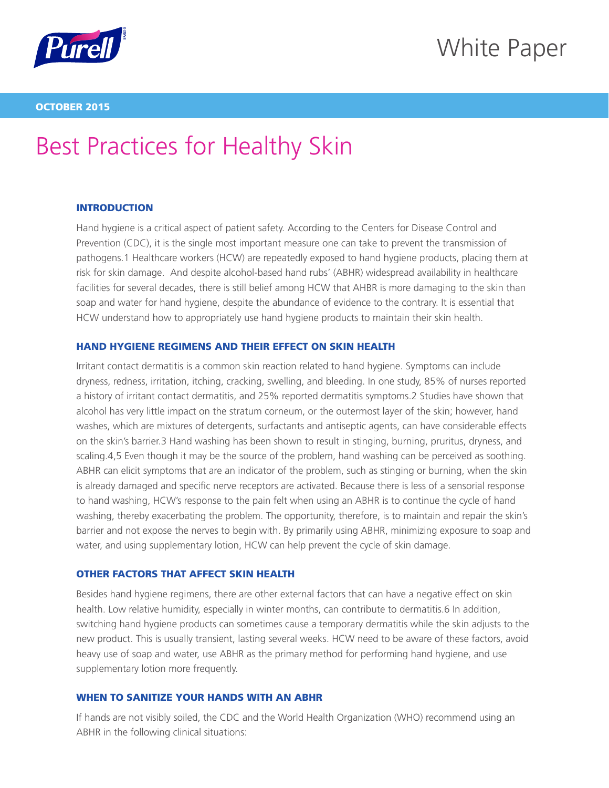

## White Paper

#### OCTOBER 2015

# Best Practices for Healthy Skin

## **INTRODUCTION**

Hand hygiene is a critical aspect of patient safety. According to the Centers for Disease Control and Prevention (CDC), it is the single most important measure one can take to prevent the transmission of pathogens.1 Healthcare workers (HCW) are repeatedly exposed to hand hygiene products, placing them at risk for skin damage. And despite alcohol-based hand rubs' (ABHR) widespread availability in healthcare facilities for several decades, there is still belief among HCW that AHBR is more damaging to the skin than soap and water for hand hygiene, despite the abundance of evidence to the contrary. It is essential that HCW understand how to appropriately use hand hygiene products to maintain their skin health.

## HAND HYGIENE REGIMENS AND THEIR EFFECT ON SKIN HEALTH

Irritant contact dermatitis is a common skin reaction related to hand hygiene. Symptoms can include dryness, redness, irritation, itching, cracking, swelling, and bleeding. In one study, 85% of nurses reported a history of irritant contact dermatitis, and 25% reported dermatitis symptoms.2 Studies have shown that alcohol has very little impact on the stratum corneum, or the outermost layer of the skin; however, hand washes, which are mixtures of detergents, surfactants and antiseptic agents, can have considerable effects on the skin's barrier.3 Hand washing has been shown to result in stinging, burning, pruritus, dryness, and scaling.4,5 Even though it may be the source of the problem, hand washing can be perceived as soothing. ABHR can elicit symptoms that are an indicator of the problem, such as stinging or burning, when the skin is already damaged and specific nerve receptors are activated. Because there is less of a sensorial response to hand washing, HCW's response to the pain felt when using an ABHR is to continue the cycle of hand washing, thereby exacerbating the problem. The opportunity, therefore, is to maintain and repair the skin's barrier and not expose the nerves to begin with. By primarily using ABHR, minimizing exposure to soap and water, and using supplementary lotion, HCW can help prevent the cycle of skin damage.

## OTHER FACTORS THAT AFFECT SKIN HEALTH

Besides hand hygiene regimens, there are other external factors that can have a negative effect on skin health. Low relative humidity, especially in winter months, can contribute to dermatitis.6 In addition, switching hand hygiene products can sometimes cause a temporary dermatitis while the skin adjusts to the new product. This is usually transient, lasting several weeks. HCW need to be aware of these factors, avoid heavy use of soap and water, use ABHR as the primary method for performing hand hygiene, and use supplementary lotion more frequently.

## WHEN TO SANITIZE YOUR HANDS WITH AN ABHR

If hands are not visibly soiled, the CDC and the World Health Organization (WHO) recommend using an ABHR in the following clinical situations: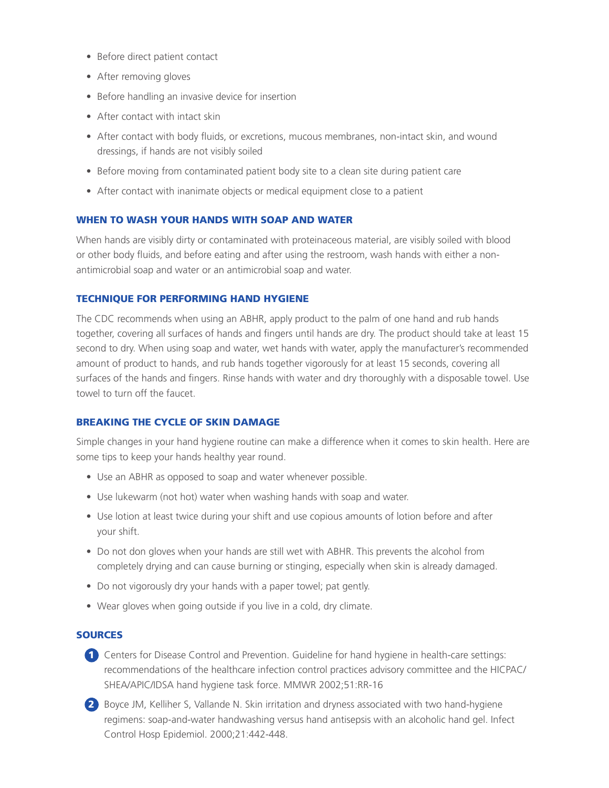- Before direct patient contact
- After removing gloves
- Before handling an invasive device for insertion
- After contact with intact skin
- After contact with body fluids, or excretions, mucous membranes, non-intact skin, and wound dressings, if hands are not visibly soiled
- Before moving from contaminated patient body site to a clean site during patient care
- After contact with inanimate objects or medical equipment close to a patient

#### WHEN TO WASH YOUR HANDS WITH SOAP AND WATER

When hands are visibly dirty or contaminated with proteinaceous material, are visibly soiled with blood or other body fluids, and before eating and after using the restroom, wash hands with either a nonantimicrobial soap and water or an antimicrobial soap and water.

#### TECHNIQUE FOR PERFORMING HAND HYGIENE

The CDC recommends when using an ABHR, apply product to the palm of one hand and rub hands together, covering all surfaces of hands and fingers until hands are dry. The product should take at least 15 second to dry. When using soap and water, wet hands with water, apply the manufacturer's recommended amount of product to hands, and rub hands together vigorously for at least 15 seconds, covering all surfaces of the hands and fingers. Rinse hands with water and dry thoroughly with a disposable towel. Use towel to turn off the faucet.

## BREAKING THE CYCLE OF SKIN DAMAGE

Simple changes in your hand hygiene routine can make a difference when it comes to skin health. Here are some tips to keep your hands healthy year round.

- Use an ABHR as opposed to soap and water whenever possible.
- Use lukewarm (not hot) water when washing hands with soap and water.
- Use lotion at least twice during your shift and use copious amounts of lotion before and after your shift.
- Do not don gloves when your hands are still wet with ABHR. This prevents the alcohol from completely drying and can cause burning or stinging, especially when skin is already damaged.
- Do not vigorously dry your hands with a paper towel; pat gently.
- Wear gloves when going outside if you live in a cold, dry climate.

#### **SOURCES**

- 1 Centers for Disease Control and Prevention. Guideline for hand hygiene in health-care settings: recommendations of the healthcare infection control practices advisory committee and the HICPAC/ SHEA/APIC/IDSA hand hygiene task force. MMWR 2002;51:RR-16
- 2 Boyce JM, Kelliher S, Vallande N. Skin irritation and dryness associated with two hand-hygiene regimens: soap-and-water handwashing versus hand antisepsis with an alcoholic hand gel. Infect Control Hosp Epidemiol. 2000;21:442-448.